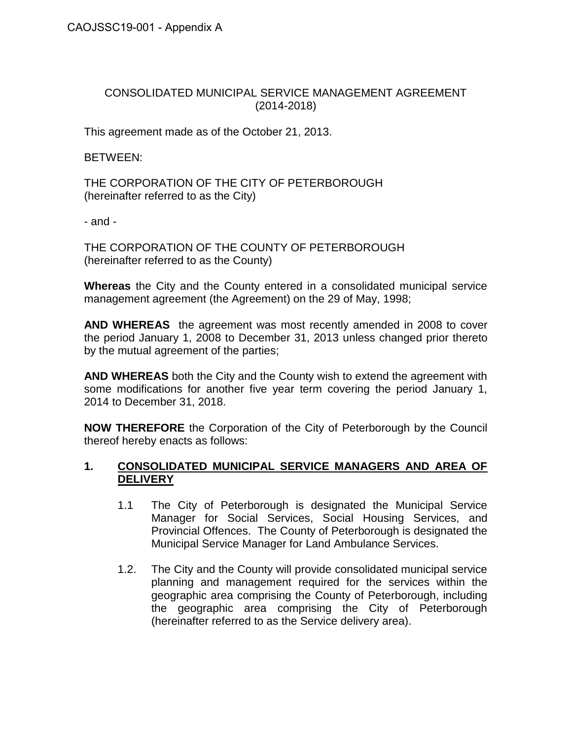# CONSOLIDATED MUNICIPAL SERVICE MANAGEMENT AGREEMENT (2014-2018)

This agreement made as of the October 21, 2013.

BETWEEN:

THE CORPORATION OF THE CITY OF PETERBOROUGH (hereinafter referred to as the City)

- and -

THE CORPORATION OF THE COUNTY OF PETERBOROUGH (hereinafter referred to as the County)

**Whereas** the City and the County entered in a consolidated municipal service management agreement (the Agreement) on the 29 of May, 1998;

**AND WHEREAS** the agreement was most recently amended in 2008 to cover the period January 1, 2008 to December 31, 2013 unless changed prior thereto by the mutual agreement of the parties;

**AND WHEREAS** both the City and the County wish to extend the agreement with some modifications for another five year term covering the period January 1, 2014 to December 31, 2018.

**NOW THEREFORE** the Corporation of the City of Peterborough by the Council thereof hereby enacts as follows:

### **1. CONSOLIDATED MUNICIPAL SERVICE MANAGERS AND AREA OF DELIVERY**

- 1.1 The City of Peterborough is designated the Municipal Service Manager for Social Services, Social Housing Services, and Provincial Offences. The County of Peterborough is designated the Municipal Service Manager for Land Ambulance Services.
- 1.2. The City and the County will provide consolidated municipal service planning and management required for the services within the geographic area comprising the County of Peterborough, including the geographic area comprising the City of Peterborough (hereinafter referred to as the Service delivery area).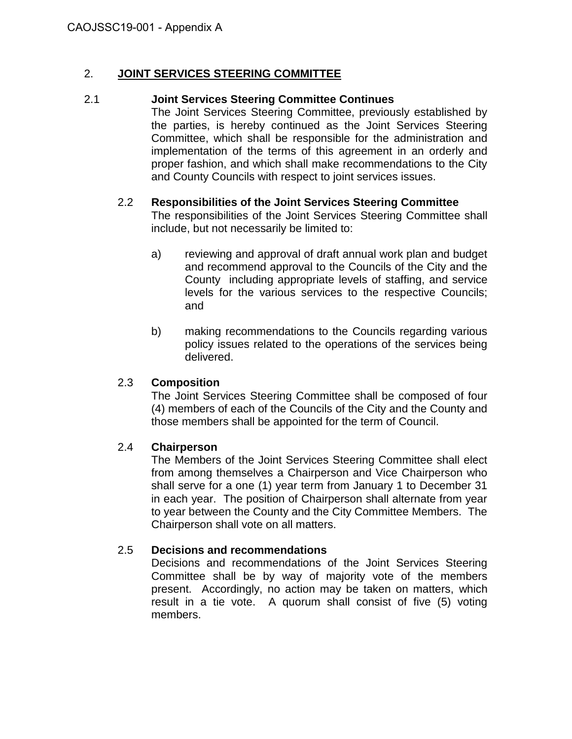## 2. **JOINT SERVICES STEERING COMMITTEE**

#### 2.1 **Joint Services Steering Committee Continues**

The Joint Services Steering Committee, previously established by the parties, is hereby continued as the Joint Services Steering Committee, which shall be responsible for the administration and implementation of the terms of this agreement in an orderly and proper fashion, and which shall make recommendations to the City and County Councils with respect to joint services issues.

### 2.2 **Responsibilities of the Joint Services Steering Committee**

The responsibilities of the Joint Services Steering Committee shall include, but not necessarily be limited to:

- a) reviewing and approval of draft annual work plan and budget and recommend approval to the Councils of the City and the County including appropriate levels of staffing, and service levels for the various services to the respective Councils; and
- b) making recommendations to the Councils regarding various policy issues related to the operations of the services being delivered.

# 2.3 **Composition**

The Joint Services Steering Committee shall be composed of four (4) members of each of the Councils of the City and the County and those members shall be appointed for the term of Council.

#### 2.4 **Chairperson**

The Members of the Joint Services Steering Committee shall elect from among themselves a Chairperson and Vice Chairperson who shall serve for a one (1) year term from January 1 to December 31 in each year. The position of Chairperson shall alternate from year to year between the County and the City Committee Members. The Chairperson shall vote on all matters.

# 2.5 **Decisions and recommendations**

Decisions and recommendations of the Joint Services Steering Committee shall be by way of majority vote of the members present. Accordingly, no action may be taken on matters, which result in a tie vote. A quorum shall consist of five (5) voting members.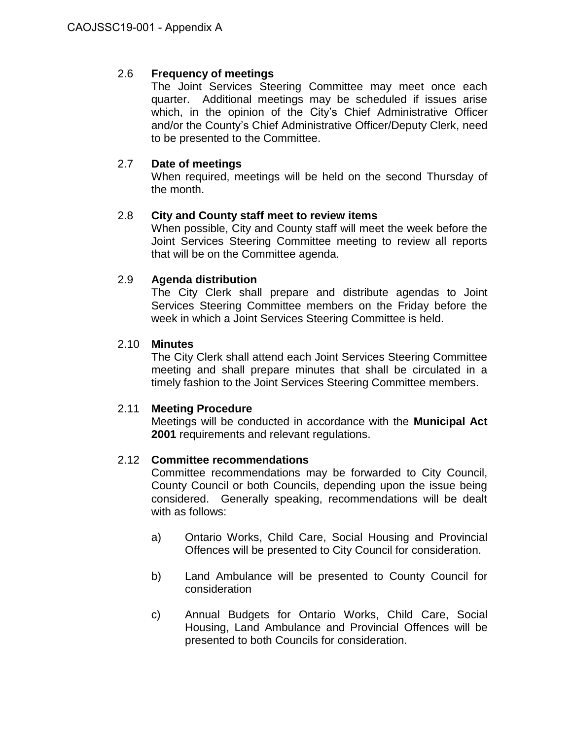# 2.6 **Frequency of meetings**

The Joint Services Steering Committee may meet once each quarter. Additional meetings may be scheduled if issues arise which, in the opinion of the City's Chief Administrative Officer and/or the County's Chief Administrative Officer/Deputy Clerk, need to be presented to the Committee.

## 2.7 **Date of meetings**

When required, meetings will be held on the second Thursday of the month.

### 2.8 **City and County staff meet to review items**

When possible, City and County staff will meet the week before the Joint Services Steering Committee meeting to review all reports that will be on the Committee agenda.

### 2.9 **Agenda distribution**

The City Clerk shall prepare and distribute agendas to Joint Services Steering Committee members on the Friday before the week in which a Joint Services Steering Committee is held.

### 2.10 **Minutes**

The City Clerk shall attend each Joint Services Steering Committee meeting and shall prepare minutes that shall be circulated in a timely fashion to the Joint Services Steering Committee members.

#### 2.11 **Meeting Procedure**

Meetings will be conducted in accordance with the **Municipal Act 2001** requirements and relevant regulations.

#### 2.12 **Committee recommendations**

Committee recommendations may be forwarded to City Council, County Council or both Councils, depending upon the issue being considered. Generally speaking, recommendations will be dealt with as follows:

- a) Ontario Works, Child Care, Social Housing and Provincial Offences will be presented to City Council for consideration.
- b) Land Ambulance will be presented to County Council for consideration
- c) Annual Budgets for Ontario Works, Child Care, Social Housing, Land Ambulance and Provincial Offences will be presented to both Councils for consideration.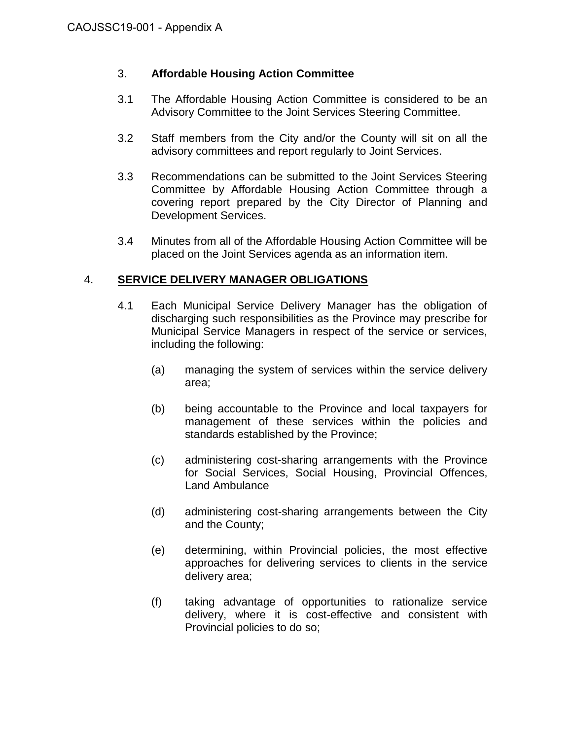## 3. **Affordable Housing Action Committee**

- 3.1 The Affordable Housing Action Committee is considered to be an Advisory Committee to the Joint Services Steering Committee.
- 3.2 Staff members from the City and/or the County will sit on all the advisory committees and report regularly to Joint Services.
- 3.3 Recommendations can be submitted to the Joint Services Steering Committee by Affordable Housing Action Committee through a covering report prepared by the City Director of Planning and Development Services.
- 3.4 Minutes from all of the Affordable Housing Action Committee will be placed on the Joint Services agenda as an information item.

### 4. **SERVICE DELIVERY MANAGER OBLIGATIONS**

- 4.1 Each Municipal Service Delivery Manager has the obligation of discharging such responsibilities as the Province may prescribe for Municipal Service Managers in respect of the service or services, including the following:
	- (a) managing the system of services within the service delivery area;
	- (b) being accountable to the Province and local taxpayers for management of these services within the policies and standards established by the Province;
	- (c) administering cost-sharing arrangements with the Province for Social Services, Social Housing, Provincial Offences, Land Ambulance
	- (d) administering cost-sharing arrangements between the City and the County;
	- (e) determining, within Provincial policies, the most effective approaches for delivering services to clients in the service delivery area;
	- (f) taking advantage of opportunities to rationalize service delivery, where it is cost-effective and consistent with Provincial policies to do so;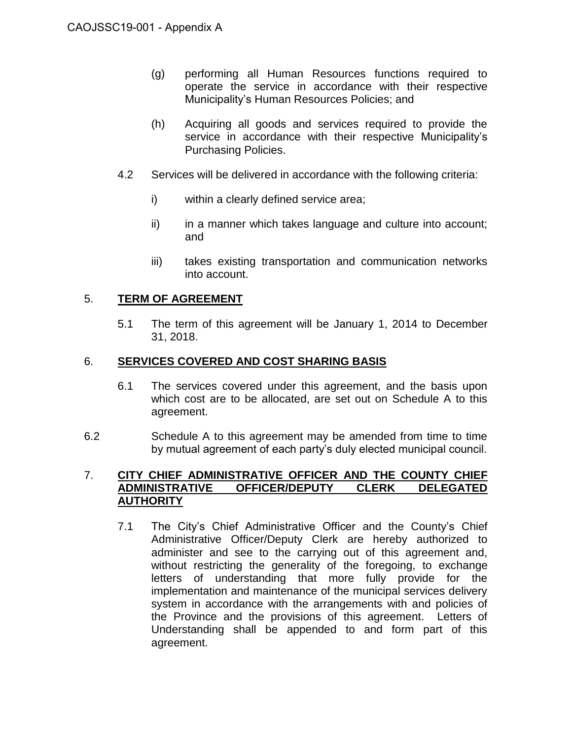- (g) performing all Human Resources functions required to operate the service in accordance with their respective Municipality's Human Resources Policies; and
- (h) Acquiring all goods and services required to provide the service in accordance with their respective Municipality's Purchasing Policies.
- 4.2 Services will be delivered in accordance with the following criteria:
	- i) within a clearly defined service area;
	- ii) in a manner which takes language and culture into account; and
	- iii) takes existing transportation and communication networks into account.

# 5. **TERM OF AGREEMENT**

5.1 The term of this agreement will be January 1, 2014 to December 31, 2018.

### 6. **SERVICES COVERED AND COST SHARING BASIS**

- 6.1 The services covered under this agreement, and the basis upon which cost are to be allocated, are set out on Schedule A to this agreement.
- 6.2 Schedule A to this agreement may be amended from time to time by mutual agreement of each party's duly elected municipal council.

#### 7. **CITY CHIEF ADMINISTRATIVE OFFICER AND THE COUNTY CHIEF ADMINISTRATIVE OFFICER/DEPUTY CLERK DELEGATED AUTHORITY**

7.1 The City's Chief Administrative Officer and the County's Chief Administrative Officer/Deputy Clerk are hereby authorized to administer and see to the carrying out of this agreement and, without restricting the generality of the foregoing, to exchange letters of understanding that more fully provide for the implementation and maintenance of the municipal services delivery system in accordance with the arrangements with and policies of the Province and the provisions of this agreement. Letters of Understanding shall be appended to and form part of this agreement.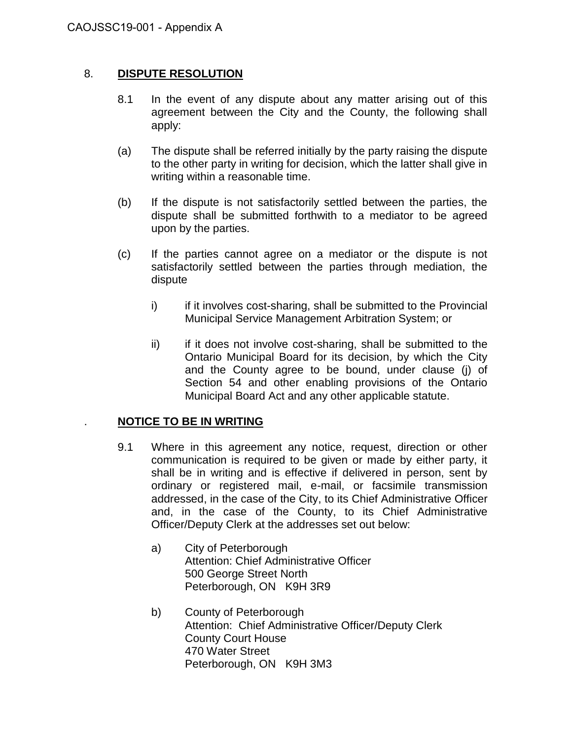## 8. **DISPUTE RESOLUTION**

- 8.1 In the event of any dispute about any matter arising out of this agreement between the City and the County, the following shall apply:
- (a) The dispute shall be referred initially by the party raising the dispute to the other party in writing for decision, which the latter shall give in writing within a reasonable time.
- (b) If the dispute is not satisfactorily settled between the parties, the dispute shall be submitted forthwith to a mediator to be agreed upon by the parties.
- (c) If the parties cannot agree on a mediator or the dispute is not satisfactorily settled between the parties through mediation, the dispute
	- i) if it involves cost-sharing, shall be submitted to the Provincial Municipal Service Management Arbitration System; or
	- ii) if it does not involve cost-sharing, shall be submitted to the Ontario Municipal Board for its decision, by which the City and the County agree to be bound, under clause (j) of Section 54 and other enabling provisions of the Ontario Municipal Board Act and any other applicable statute.

#### . **NOTICE TO BE IN WRITING**

- 9.1 Where in this agreement any notice, request, direction or other communication is required to be given or made by either party, it shall be in writing and is effective if delivered in person, sent by ordinary or registered mail, e-mail, or facsimile transmission addressed, in the case of the City, to its Chief Administrative Officer and, in the case of the County, to its Chief Administrative Officer/Deputy Clerk at the addresses set out below:
	- a) City of Peterborough Attention: Chief Administrative Officer 500 George Street North Peterborough, ON K9H 3R9
	- b) County of Peterborough Attention: Chief Administrative Officer/Deputy Clerk County Court House 470 Water Street Peterborough, ON K9H 3M3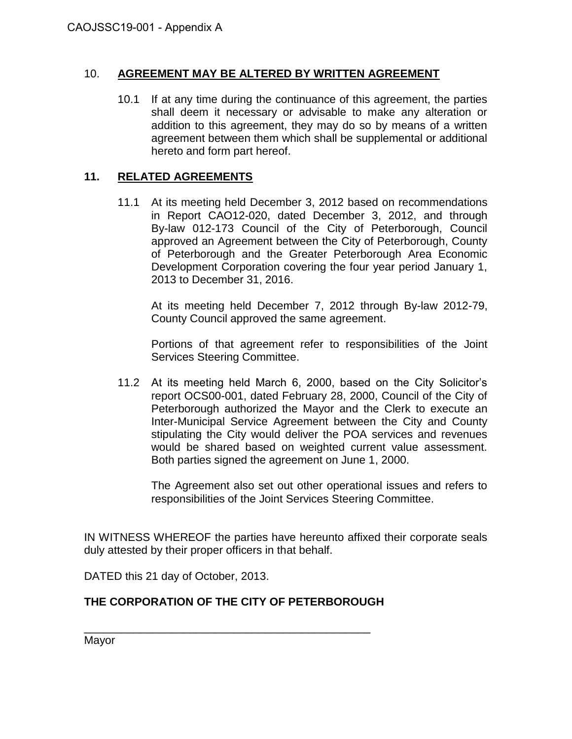#### 10. **AGREEMENT MAY BE ALTERED BY WRITTEN AGREEMENT**

10.1 If at any time during the continuance of this agreement, the parties shall deem it necessary or advisable to make any alteration or addition to this agreement, they may do so by means of a written agreement between them which shall be supplemental or additional hereto and form part hereof.

## **11. RELATED AGREEMENTS**

11.1 At its meeting held December 3, 2012 based on recommendations in Report CAO12-020, dated December 3, 2012, and through By-law 012-173 Council of the City of Peterborough, Council approved an Agreement between the City of Peterborough, County of Peterborough and the Greater Peterborough Area Economic Development Corporation covering the four year period January 1, 2013 to December 31, 2016.

At its meeting held December 7, 2012 through By-law 2012-79, County Council approved the same agreement.

Portions of that agreement refer to responsibilities of the Joint Services Steering Committee.

11.2 At its meeting held March 6, 2000, based on the City Solicitor's report OCS00-001, dated February 28, 2000, Council of the City of Peterborough authorized the Mayor and the Clerk to execute an Inter-Municipal Service Agreement between the City and County stipulating the City would deliver the POA services and revenues would be shared based on weighted current value assessment. Both parties signed the agreement on June 1, 2000.

The Agreement also set out other operational issues and refers to responsibilities of the Joint Services Steering Committee.

IN WITNESS WHEREOF the parties have hereunto affixed their corporate seals duly attested by their proper officers in that behalf.

DATED this 21 day of October, 2013.

# **THE CORPORATION OF THE CITY OF PETERBOROUGH**

\_\_\_\_\_\_\_\_\_\_\_\_\_\_\_\_\_\_\_\_\_\_\_\_\_\_\_\_\_\_\_\_\_\_\_\_\_\_\_\_\_\_\_\_\_\_ Mayor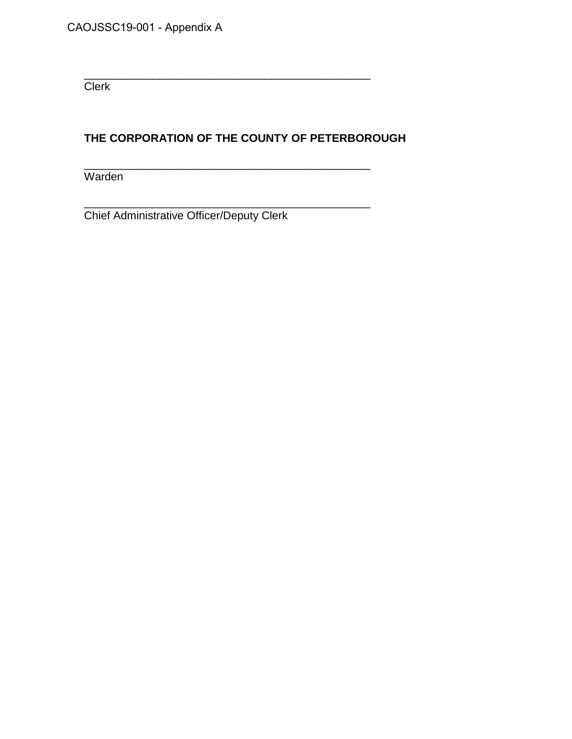**Clerk** 

# **THE CORPORATION OF THE COUNTY OF PETERBOROUGH**

\_\_\_\_\_\_\_\_\_\_\_\_\_\_\_\_\_\_\_\_\_\_\_\_\_\_\_\_\_\_\_\_\_\_\_\_\_\_\_\_\_\_\_\_\_\_

\_\_\_\_\_\_\_\_\_\_\_\_\_\_\_\_\_\_\_\_\_\_\_\_\_\_\_\_\_\_\_\_\_\_\_\_\_\_\_\_\_\_\_\_\_\_

Warden

\_\_\_\_\_\_\_\_\_\_\_\_\_\_\_\_\_\_\_\_\_\_\_\_\_\_\_\_\_\_\_\_\_\_\_\_\_\_\_\_\_\_\_\_\_\_ Chief Administrative Officer/Deputy Clerk